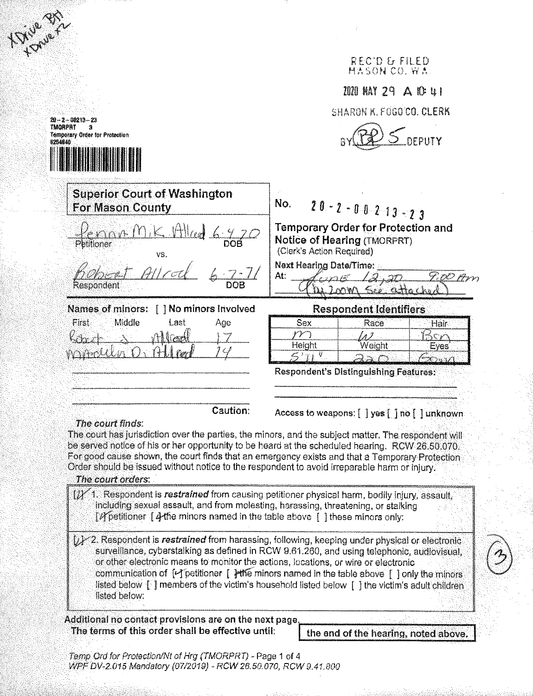|                                                                                                                                                                   | REC'D & FILED<br>MASON CO. WA.                                                                                                                                                                                                                                                                                                                                                                  |
|-------------------------------------------------------------------------------------------------------------------------------------------------------------------|-------------------------------------------------------------------------------------------------------------------------------------------------------------------------------------------------------------------------------------------------------------------------------------------------------------------------------------------------------------------------------------------------|
|                                                                                                                                                                   | 1020 MAY 29 A 10 U I                                                                                                                                                                                                                                                                                                                                                                            |
| $20 - 2 - 00213 - 23$                                                                                                                                             | SHARON K. FOGO CO. CLERK                                                                                                                                                                                                                                                                                                                                                                        |
| TMORPRT<br><b>Temporary Order for Protection</b><br>8254840                                                                                                       | <b>DEPUTY</b>                                                                                                                                                                                                                                                                                                                                                                                   |
| <b>Superior Court of Washington</b><br>For Mason County                                                                                                           | No.<br>$20 - 2 - 0 - 0 - 2 - 13 - 23$                                                                                                                                                                                                                                                                                                                                                           |
| Petitioner<br>VS.                                                                                                                                                 | Temporary Order for Protection and<br>Notice of Hearing (TMORPRT)<br>(Clerk's Action Required)                                                                                                                                                                                                                                                                                                  |
| Respondent                                                                                                                                                        | <b>Next Hearing Date/Time:</b><br>At:<br>7, 0O<br>attacho                                                                                                                                                                                                                                                                                                                                       |
| Names of minors:<br>[ ] No minors involved                                                                                                                        | <b>Respondent Identifiers</b>                                                                                                                                                                                                                                                                                                                                                                   |
| Middle<br>First<br>Last<br>Age                                                                                                                                    | Sex<br>Race<br>Hair<br>Height<br>Weight<br>Eyes.<br>$\mathcal{L}$ in $\mathcal{L}$                                                                                                                                                                                                                                                                                                              |
|                                                                                                                                                                   | <b>Respondent's Distinguishing Features:</b>                                                                                                                                                                                                                                                                                                                                                    |
| Caution:<br>The court finds:                                                                                                                                      | Access to weapons: [ ] yes [ ] no [ ] unknown<br>The court has jurisdiction over the parties, the minors, and the subject matter. The respondent will<br>be served notice of his or her opportunity to be heard at the scheduled hearing. RCW 26.50.070.<br>For good cause shown, the court finds that an emergency exists and that a Temporary Protection                                      |
| Order should be issued without notice to the respondent to avoid irreparable harm or injury.<br>The court orders:                                                 |                                                                                                                                                                                                                                                                                                                                                                                                 |
| including sexual assault, and from molesting, harassing, threatening, or stalking<br>[N petitioner   4 the minors named in the table above   1 these minors only: | [1] 1. Respondent is restrained from causing petitioner physical harm, bodily injury, assault,                                                                                                                                                                                                                                                                                                  |
| or other electronic means to monitor the actions, locations, or wire or electronic<br>listed below:                                                               | [x] 2. Respondent is restrained from harassing, following, keeping under physical or electronic<br>surveillance, cyberstalking as defined in RCW 9.61.260, and using telephonic, audiovisual,<br>communication of [La] petitioner [ June minors named in the table above [ ] only the minors<br>listed below [1] members of the victim's household listed below [1] the victim's adult children |
|                                                                                                                                                                   |                                                                                                                                                                                                                                                                                                                                                                                                 |
| Additional no contact provisions are on the next page.<br>The terms of this order shall be effective until:                                                       |                                                                                                                                                                                                                                                                                                                                                                                                 |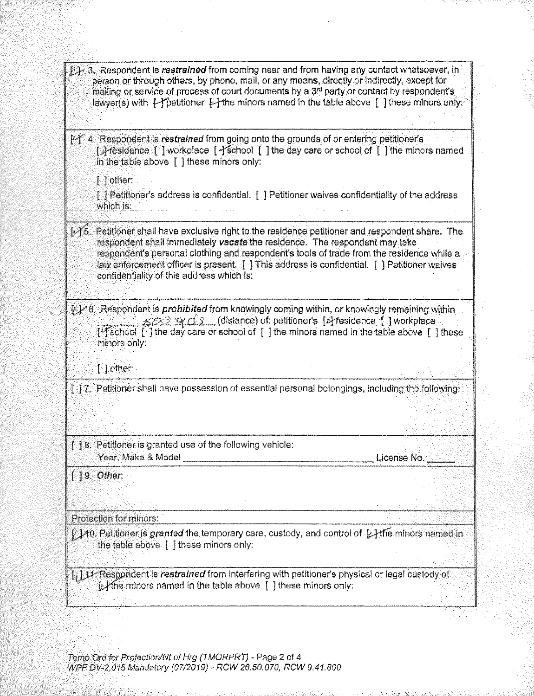| [6] 3. Respondent is restrained from coming near and from having any contact whatsoever, in<br>person or through others, by phone, mail, or any means, directly or indirectly, except for<br>mailing or service of process of court documents by a 3 <sup>rd</sup> party or contact by respondent's<br>lawyer(s) with $\epsilon$ petitioner $\epsilon$ -the minors named in the table above [ ] these minors only:      |             |
|-------------------------------------------------------------------------------------------------------------------------------------------------------------------------------------------------------------------------------------------------------------------------------------------------------------------------------------------------------------------------------------------------------------------------|-------------|
|                                                                                                                                                                                                                                                                                                                                                                                                                         |             |
| [4] 4. Respondent is restrained from going onto the grounds of or entering petitioner's<br>[Aresidence [ ] workplace [ 1 school [ ] the day care or school of [ ] the minors named<br>in the table above $\lceil \cdot \rceil$ these minors only:                                                                                                                                                                       |             |
| $\llbracket \cdot \rrbracket$ other:                                                                                                                                                                                                                                                                                                                                                                                    |             |
| [3] Petitioner's address is confidential. [1] Petitioner waives confidentiality of the address<br>which is:                                                                                                                                                                                                                                                                                                             |             |
| [A5. Petitioner shall have exclusive right to the residence petitioner and respondent share. The<br>respondent shall immediately vacate the residence. The respondent may take<br>respondent's personal clothing and respondent's tools of trade from the residence while a<br>law enforcement officer is present. [1] This address is confidential. [1] Petitioner waives<br>confidentiality of this address which is: |             |
| [1] 6. Respondent is prohibited from knowingly coming within, or knowingly remaining within<br>$\overline{\mathscr{B}\mathscr{D}}\mathscr{Q}\mathscr{Q}\mathscr{S}$ (distance) of: petitioner's [4] residence [ ] workplace                                                                                                                                                                                             |             |
| ['school [ ] the day care or school of [ ] the minors named in the table above [ ] these<br>minors only:                                                                                                                                                                                                                                                                                                                |             |
| $[$ ] other:                                                                                                                                                                                                                                                                                                                                                                                                            |             |
| $[~]$ 7. Petitioner shall have possession of essential personal belongings, including the following:                                                                                                                                                                                                                                                                                                                    |             |
|                                                                                                                                                                                                                                                                                                                                                                                                                         |             |
|                                                                                                                                                                                                                                                                                                                                                                                                                         |             |
|                                                                                                                                                                                                                                                                                                                                                                                                                         |             |
| [18. Petitioner is granted use of the following vehicle:                                                                                                                                                                                                                                                                                                                                                                | License No. |
| $119.$ Other.                                                                                                                                                                                                                                                                                                                                                                                                           |             |
|                                                                                                                                                                                                                                                                                                                                                                                                                         |             |
|                                                                                                                                                                                                                                                                                                                                                                                                                         |             |
| Protection for minors:<br>$\ell$ ) to. Petitioner is $\bm{g}$ ranted the temporary care, custody, and control of $\ \ \lambda$ the minors named in<br>the table above [ ] these minors only:                                                                                                                                                                                                                            |             |

Temp Ord for Protection/Nt of Hrg (TMORPRT) - Page 2 of 4<br>WPF DV-2.015 Mandatory (07/2019) - RCW 26.50.070, RCW 9.41.800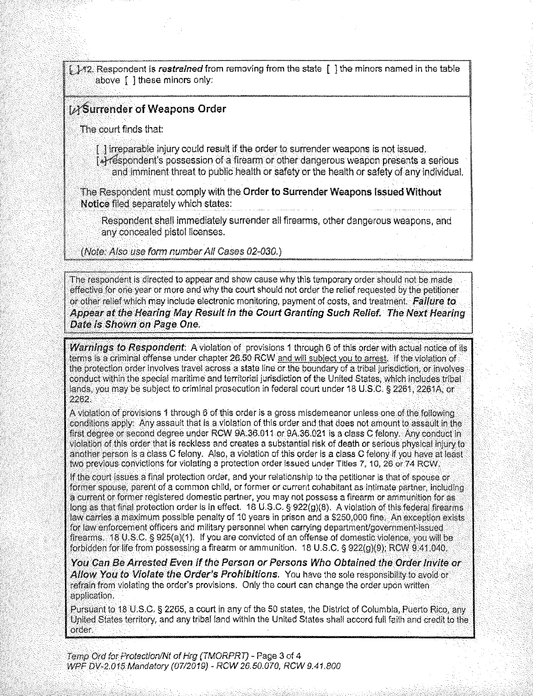[142. Respondent is restrained from removing from the state [1] the minors named in the table above [ ] these minors only:

## **IMSurrender of Weapons Order**

The court finds that:

1 i trreparable injury could result if the order to surrender weapons is not issued. [4] respondent's possession of a firearm or other dangerous weapon presents a serious and imminent threat to public health or safety or the health or safety of any individual.

The Respondent must comply with the Order to Surrender Weapons Issued Without Notice filed separately which states:

Respondent shall immediately surrender all firearms, other dangerous weapons, and any concealed pistol licenses.

(Note: Also use form number All Cases 02-030.)

The respondent is directed to appear and show cause why this temporary order should not be made effective for one year or more and why the court should not order the relief requested by the petitioner. or other relief which may include electronic monitoring, payment of costs, and treatment. Failure to Appear at the Hearing May Result in the Court Granting Such Relief. The Next Hearing Date is Shown on Page One.

Warnings to Respondent: A violation of provisions 1 through 6 of this order with actual notice of its terms is a criminal offense under chapter 26.50 RCW and will subject you to arrest. If the violation of the protection order involves travel across a state line or the boundary of a tribal jurisdiction, or involves conduct within the special maritime and territorial jurisdiction of the United States, which includes tribal lands, you may be subject to criminal prosecution in federal court under 18 U.S.C. § 2261, 2261A, or 2262.

A violation of provisions 1 through 6 of this order is a gross misdemeanor unless one of the following conditions apply: Any assault that is a violation of this order and that does not amount to assault in the first degree or second degree under RCW 9A.36.011 or 9A.36.021 is a class C felony. Any conduct in violation of this order that is reckless and creates a substantial risk of death or serious physical injury to another person is a class C felony. Also, a violation of this order is a class C felony if you have at least two previous convictions for violating a protection order issued under Titles 7, 10, 26 or 74 RCW.

If the court issues a final protection order, and your relationship to the petitioner is that of spouse or former spouse, parent of a common child, or former or current cohabitant as intimate partner, including a current or former registered domestic partner, you may not possess a firearm or ammunition for as long as that final protection order is in effect. 18 U.S.C. § 922(g)(8). A violation of this federal firearms law carries a maximum possible penalty of 10 years in prison and a \$250,000 fine. An exception exists for law enforcement officers and military personnel when carrying department/government-issued firearms. 18 U.S.C. § 925(a)(1). If you are convicted of an offense of domestic violence, you will be forbidden for life from possessing a firearm or ammunition. 18 U.S.C. § 922(q)(9); RCW 9.41.040.

You Can Be Arrested Even if the Person or Persons Who Obtained the Order Invite or Allow You to Violate the Order's Prohibitions. You have the sole responsibility to avoid or refrain from violating the order's provisions. Only the court can change the order upon written application.

Pursuant to 18 U.S.C. § 2265, a court in any of the 50 states, the District of Columbia, Puerto Rico, any United States territory, and any tribal land within the United States shall accord full faith and credit to the order.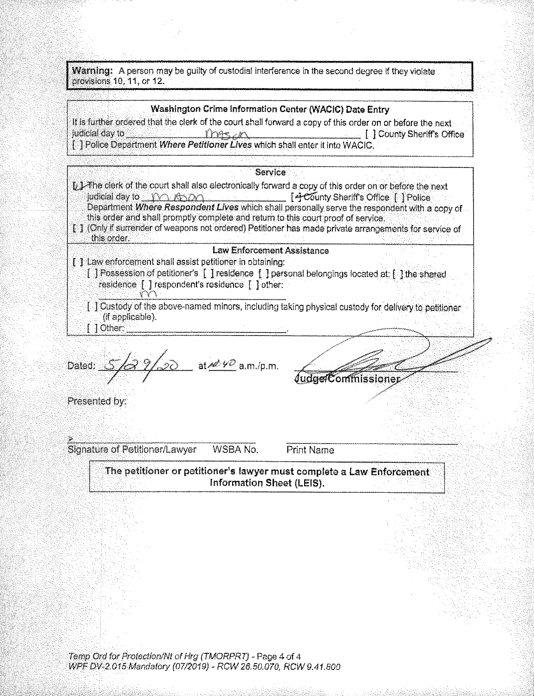Warning: A person may be guilty of custodial interference in the second degree if they violate provisions 10, 11, or 12.

## Washington Crime Information Center (WACIC) Date Entry

It is further ordered that the clerk of the court shall forward a copy of this order on or before the next judicial day to  $Y$  as  $X$ **I. I County Sheriff's Office** [ ] Police Department Where Petitioner Lives which shall enter it into WACIC.

Service

- In 1-The clerk of the court shall also electronically forward a copy of this order on or before the next judicial day to MO KROO F4 County Sheriff's Office | Police Department Where Respondent Lives which shall personally serve the respondent with a copy of this order and shall promptly complete and return to this court proof of service.
- [ ] (Only if surrender of weapons not ordered) Petitioner has made private arrangements for service of this order.

## **Law Enforcement Assistance**

- [1] Law enforcement shall assist petitioner in obtaining: [ ] Possession of petitioner's [ ] residence [ ] personal belongings located at: [ ] the shared residence [ ] respondent's residence [ ] other:
	- 1.1 Custody of the above-named minors, including taking physical custody for delivery to petitioner (if applicable). [ ] Other:

at  $\mathscr{W}$  a.m./p.m. Dated:

*Judge/Commissioner* 

Presented by:

**Signature of Petitioner/Lawyer** WSBA No. Print Name

The petitioner or petitioner's lawyer must complete a Law Enforcement Information Sheet (LEIS).

Temp Ord for Protection/Nt of Hrg (TMORPRT) - Page 4 of 4 WPF DV-2.015 Mandatory (07/2019) - RCW 26.50.070, RCW 9.41.800